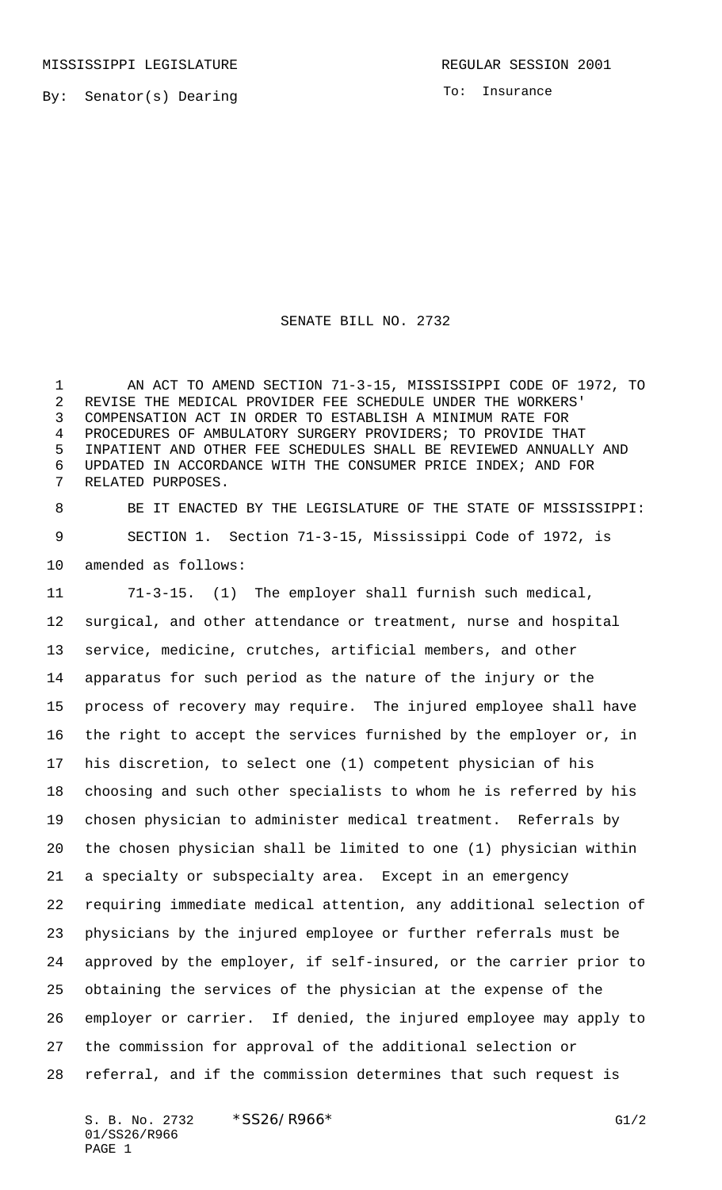By: Senator(s) Dearing

To: Insurance

SENATE BILL NO. 2732

 AN ACT TO AMEND SECTION 71-3-15, MISSISSIPPI CODE OF 1972, TO REVISE THE MEDICAL PROVIDER FEE SCHEDULE UNDER THE WORKERS' COMPENSATION ACT IN ORDER TO ESTABLISH A MINIMUM RATE FOR PROCEDURES OF AMBULATORY SURGERY PROVIDERS; TO PROVIDE THAT INPATIENT AND OTHER FEE SCHEDULES SHALL BE REVIEWED ANNUALLY AND UPDATED IN ACCORDANCE WITH THE CONSUMER PRICE INDEX; AND FOR RELATED PURPOSES.

 BE IT ENACTED BY THE LEGISLATURE OF THE STATE OF MISSISSIPPI: SECTION 1. Section 71-3-15, Mississippi Code of 1972, is amended as follows:

 71-3-15. (1) The employer shall furnish such medical, surgical, and other attendance or treatment, nurse and hospital service, medicine, crutches, artificial members, and other apparatus for such period as the nature of the injury or the process of recovery may require. The injured employee shall have the right to accept the services furnished by the employer or, in his discretion, to select one (1) competent physician of his choosing and such other specialists to whom he is referred by his chosen physician to administer medical treatment. Referrals by the chosen physician shall be limited to one (1) physician within a specialty or subspecialty area. Except in an emergency requiring immediate medical attention, any additional selection of physicians by the injured employee or further referrals must be approved by the employer, if self-insured, or the carrier prior to obtaining the services of the physician at the expense of the employer or carrier. If denied, the injured employee may apply to the commission for approval of the additional selection or referral, and if the commission determines that such request is

S. B. No. 2732 \* SS26/R966\* G1/2 01/SS26/R966 PAGE 1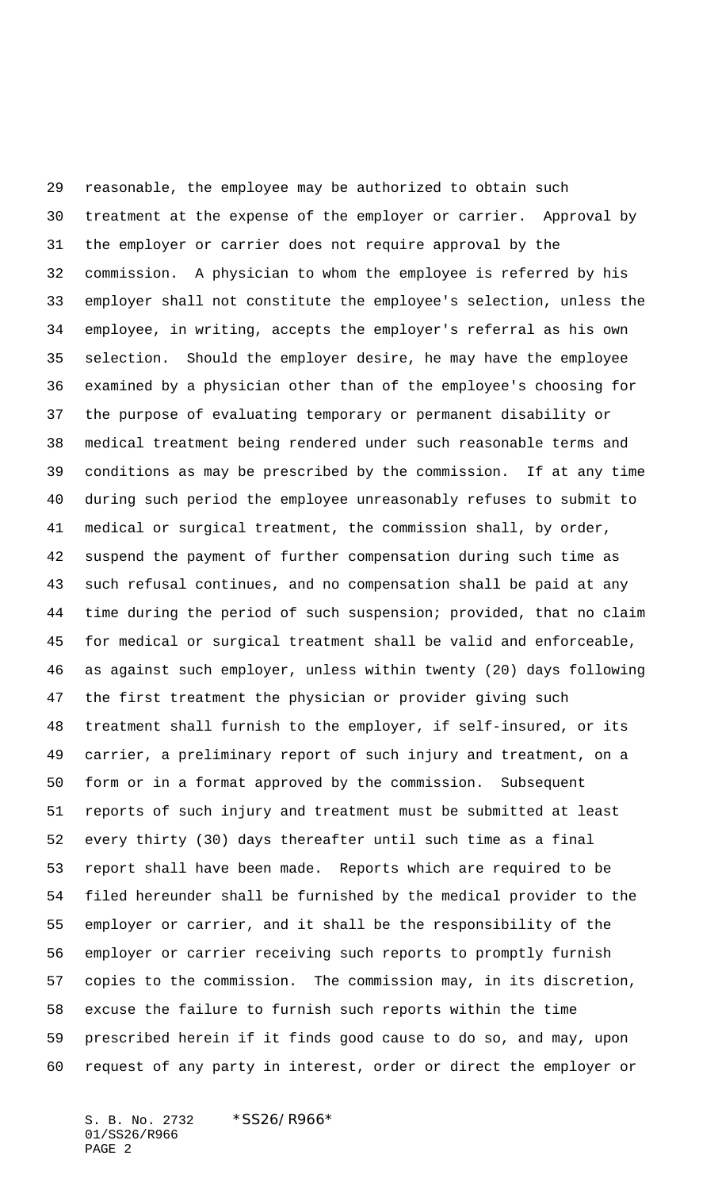reasonable, the employee may be authorized to obtain such treatment at the expense of the employer or carrier. Approval by the employer or carrier does not require approval by the commission. A physician to whom the employee is referred by his employer shall not constitute the employee's selection, unless the employee, in writing, accepts the employer's referral as his own selection. Should the employer desire, he may have the employee examined by a physician other than of the employee's choosing for the purpose of evaluating temporary or permanent disability or medical treatment being rendered under such reasonable terms and conditions as may be prescribed by the commission. If at any time during such period the employee unreasonably refuses to submit to medical or surgical treatment, the commission shall, by order, suspend the payment of further compensation during such time as such refusal continues, and no compensation shall be paid at any time during the period of such suspension; provided, that no claim for medical or surgical treatment shall be valid and enforceable, as against such employer, unless within twenty (20) days following the first treatment the physician or provider giving such treatment shall furnish to the employer, if self-insured, or its carrier, a preliminary report of such injury and treatment, on a form or in a format approved by the commission. Subsequent reports of such injury and treatment must be submitted at least every thirty (30) days thereafter until such time as a final report shall have been made. Reports which are required to be filed hereunder shall be furnished by the medical provider to the employer or carrier, and it shall be the responsibility of the employer or carrier receiving such reports to promptly furnish copies to the commission. The commission may, in its discretion, excuse the failure to furnish such reports within the time prescribed herein if it finds good cause to do so, and may, upon request of any party in interest, order or direct the employer or

S. B. No. 2732 \*SS26/R966\* 01/SS26/R966 PAGE 2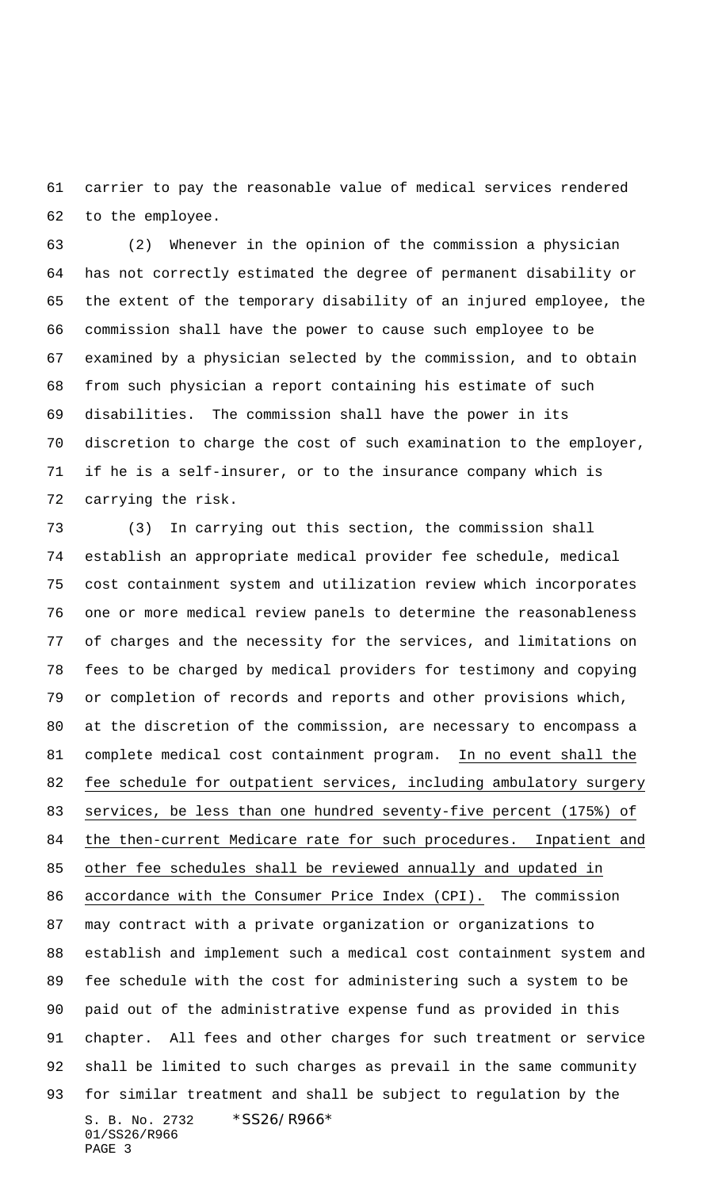carrier to pay the reasonable value of medical services rendered to the employee.

 (2) Whenever in the opinion of the commission a physician has not correctly estimated the degree of permanent disability or the extent of the temporary disability of an injured employee, the commission shall have the power to cause such employee to be examined by a physician selected by the commission, and to obtain from such physician a report containing his estimate of such disabilities. The commission shall have the power in its discretion to charge the cost of such examination to the employer, if he is a self-insurer, or to the insurance company which is carrying the risk.

S. B. No. 2732 \*SS26/R966\* 01/SS26/R966 PAGE 3 (3) In carrying out this section, the commission shall establish an appropriate medical provider fee schedule, medical cost containment system and utilization review which incorporates one or more medical review panels to determine the reasonableness of charges and the necessity for the services, and limitations on fees to be charged by medical providers for testimony and copying or completion of records and reports and other provisions which, at the discretion of the commission, are necessary to encompass a complete medical cost containment program. In no event shall the fee schedule for outpatient services, including ambulatory surgery services, be less than one hundred seventy-five percent (175%) of the then-current Medicare rate for such procedures. Inpatient and other fee schedules shall be reviewed annually and updated in accordance with the Consumer Price Index (CPI). The commission may contract with a private organization or organizations to establish and implement such a medical cost containment system and fee schedule with the cost for administering such a system to be paid out of the administrative expense fund as provided in this chapter. All fees and other charges for such treatment or service shall be limited to such charges as prevail in the same community for similar treatment and shall be subject to regulation by the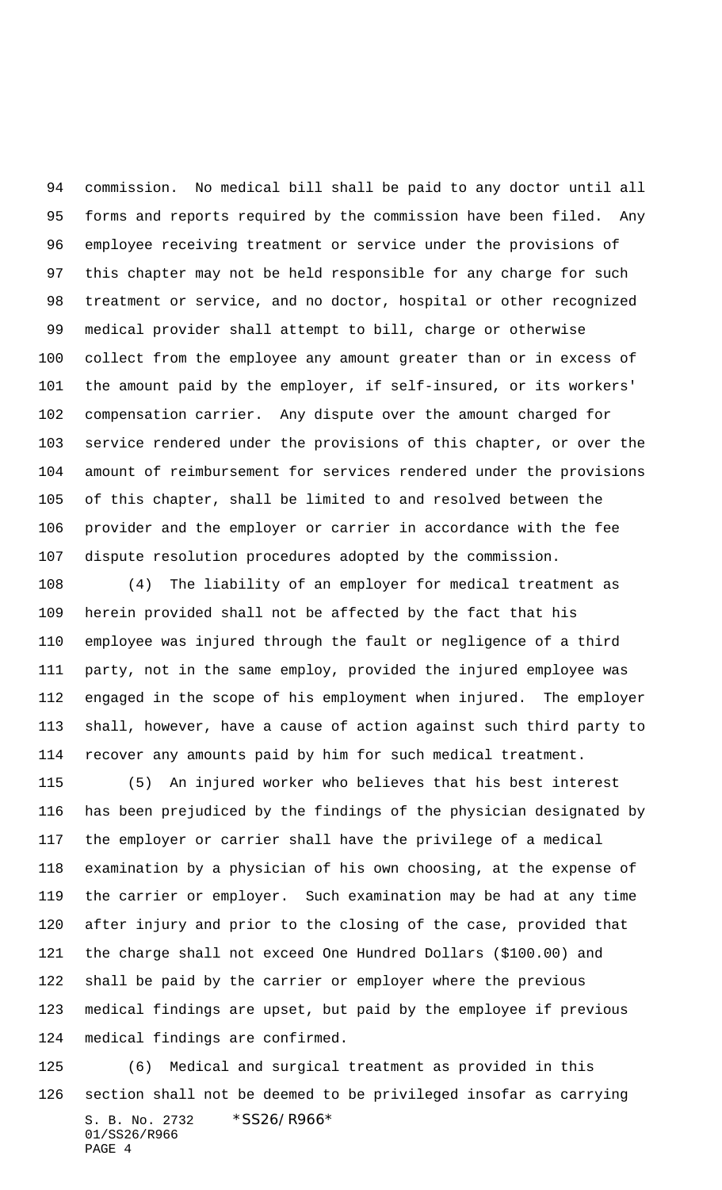commission. No medical bill shall be paid to any doctor until all forms and reports required by the commission have been filed. Any employee receiving treatment or service under the provisions of this chapter may not be held responsible for any charge for such treatment or service, and no doctor, hospital or other recognized medical provider shall attempt to bill, charge or otherwise collect from the employee any amount greater than or in excess of the amount paid by the employer, if self-insured, or its workers' compensation carrier. Any dispute over the amount charged for service rendered under the provisions of this chapter, or over the amount of reimbursement for services rendered under the provisions of this chapter, shall be limited to and resolved between the provider and the employer or carrier in accordance with the fee dispute resolution procedures adopted by the commission.

 (4) The liability of an employer for medical treatment as herein provided shall not be affected by the fact that his employee was injured through the fault or negligence of a third party, not in the same employ, provided the injured employee was engaged in the scope of his employment when injured. The employer shall, however, have a cause of action against such third party to recover any amounts paid by him for such medical treatment.

 (5) An injured worker who believes that his best interest has been prejudiced by the findings of the physician designated by the employer or carrier shall have the privilege of a medical examination by a physician of his own choosing, at the expense of the carrier or employer. Such examination may be had at any time after injury and prior to the closing of the case, provided that the charge shall not exceed One Hundred Dollars (\$100.00) and shall be paid by the carrier or employer where the previous medical findings are upset, but paid by the employee if previous medical findings are confirmed.

S. B. No. 2732 \*SS26/R966\* 01/SS26/R966 PAGE 4 (6) Medical and surgical treatment as provided in this section shall not be deemed to be privileged insofar as carrying